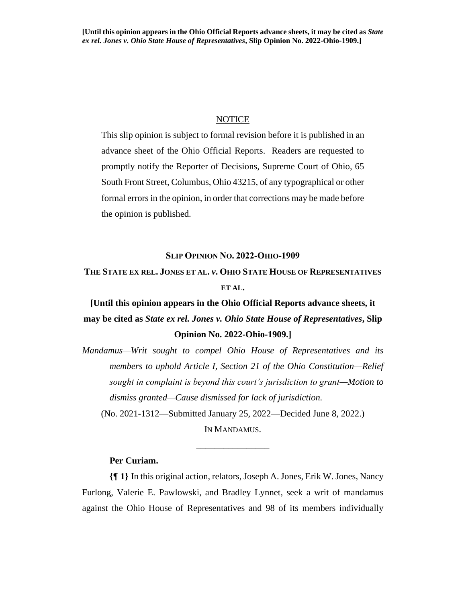## **NOTICE**

This slip opinion is subject to formal revision before it is published in an advance sheet of the Ohio Official Reports. Readers are requested to promptly notify the Reporter of Decisions, Supreme Court of Ohio, 65 South Front Street, Columbus, Ohio 43215, of any typographical or other formal errors in the opinion, in order that corrections may be made before the opinion is published.

#### **SLIP OPINION NO. 2022-OHIO-1909**

## **THE STATE EX REL. JONES ET AL.** *v***. OHIO STATE HOUSE OF REPRESENTATIVES ET AL.**

# **[Until this opinion appears in the Ohio Official Reports advance sheets, it may be cited as** *State ex rel. Jones v. Ohio State House of Representatives***, Slip Opinion No. 2022-Ohio-1909.]**

*Mandamus—Writ sought to compel Ohio House of Representatives and its members to uphold Article I, Section 21 of the Ohio Constitution—Relief sought in complaint is beyond this court's jurisdiction to grant—Motion to dismiss granted—Cause dismissed for lack of jurisdiction.*

(No. 2021-1312—Submitted January 25, 2022—Decided June 8, 2022.) IN MANDAMUS.

\_\_\_\_\_\_\_\_\_\_\_\_\_\_\_\_

## **Per Curiam.**

**{¶ 1}** In this original action, relators, Joseph A. Jones, Erik W. Jones, Nancy Furlong, Valerie E. Pawlowski, and Bradley Lynnet, seek a writ of mandamus against the Ohio House of Representatives and 98 of its members individually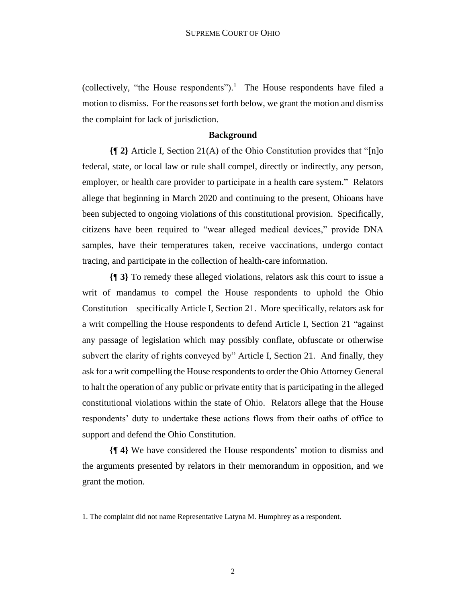(collectively, "the House respondents").<sup>1</sup> The House respondents have filed a motion to dismiss. For the reasons set forth below, we grant the motion and dismiss the complaint for lack of jurisdiction.

## **Background**

**{¶ 2}** Article I, Section 21(A) of the Ohio Constitution provides that "[n]o federal, state, or local law or rule shall compel, directly or indirectly, any person, employer, or health care provider to participate in a health care system." Relators allege that beginning in March 2020 and continuing to the present, Ohioans have been subjected to ongoing violations of this constitutional provision. Specifically, citizens have been required to "wear alleged medical devices," provide DNA samples, have their temperatures taken, receive vaccinations, undergo contact tracing, and participate in the collection of health-care information.

**{¶ 3}** To remedy these alleged violations, relators ask this court to issue a writ of mandamus to compel the House respondents to uphold the Ohio Constitution—specifically Article I, Section 21. More specifically, relators ask for a writ compelling the House respondents to defend Article I, Section 21 "against any passage of legislation which may possibly conflate, obfuscate or otherwise subvert the clarity of rights conveyed by" Article I, Section 21. And finally, they ask for a writ compelling the House respondents to order the Ohio Attorney General to halt the operation of any public or private entity that is participating in the alleged constitutional violations within the state of Ohio. Relators allege that the House respondents' duty to undertake these actions flows from their oaths of office to support and defend the Ohio Constitution.

**{¶ 4}** We have considered the House respondents' motion to dismiss and the arguments presented by relators in their memorandum in opposition, and we grant the motion.

<sup>1.</sup> The complaint did not name Representative Latyna M. Humphrey as a respondent.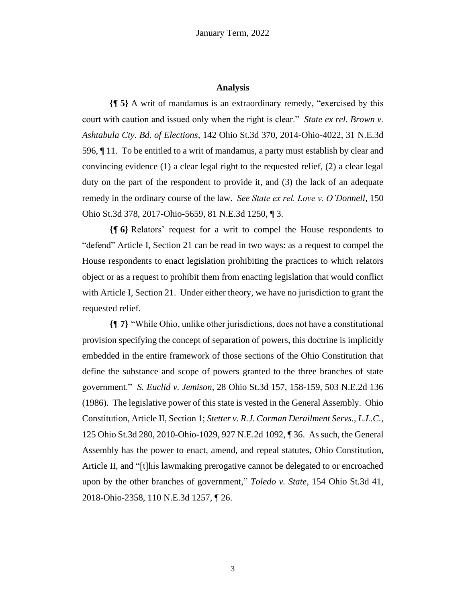## **Analysis**

**{¶ 5}** A writ of mandamus is an extraordinary remedy, "exercised by this court with caution and issued only when the right is clear." *State ex rel. Brown v. Ashtabula Cty. Bd. of Elections*, 142 Ohio St.3d 370, 2014-Ohio-4022, 31 N.E.3d 596, ¶ 11. To be entitled to a writ of mandamus, a party must establish by clear and convincing evidence (1) a clear legal right to the requested relief, (2) a clear legal duty on the part of the respondent to provide it, and (3) the lack of an adequate remedy in the ordinary course of the law. *See State ex rel. Love v. O'Donnell*, 150 Ohio St.3d 378, 2017-Ohio-5659, 81 N.E.3d 1250, ¶ 3.

**{¶ 6}** Relators' request for a writ to compel the House respondents to "defend" Article I, Section 21 can be read in two ways: as a request to compel the House respondents to enact legislation prohibiting the practices to which relators object or as a request to prohibit them from enacting legislation that would conflict with Article I, Section 21. Under either theory, we have no jurisdiction to grant the requested relief.

**{¶ 7}** "While Ohio, unlike other jurisdictions, does not have a constitutional provision specifying the concept of separation of powers, this doctrine is implicitly embedded in the entire framework of those sections of the Ohio Constitution that define the substance and scope of powers granted to the three branches of state government." *S. Euclid v. Jemison*, 28 Ohio St.3d 157, 158-159, 503 N.E.2d 136 (1986). The legislative power of this state is vested in the General Assembly. Ohio Constitution, Article II, Section 1; *Stetter v. R.J. Corman Derailment Servs., L.L.C.*, 125 Ohio St.3d 280, 2010-Ohio-1029, 927 N.E.2d 1092, ¶ 36. As such, the General Assembly has the power to enact, amend, and repeal statutes, Ohio Constitution, Article II, and "[t]his lawmaking prerogative cannot be delegated to or encroached upon by the other branches of government," *Toledo v. State*, 154 Ohio St.3d 41, 2018-Ohio-2358, 110 N.E.3d 1257, ¶ 26.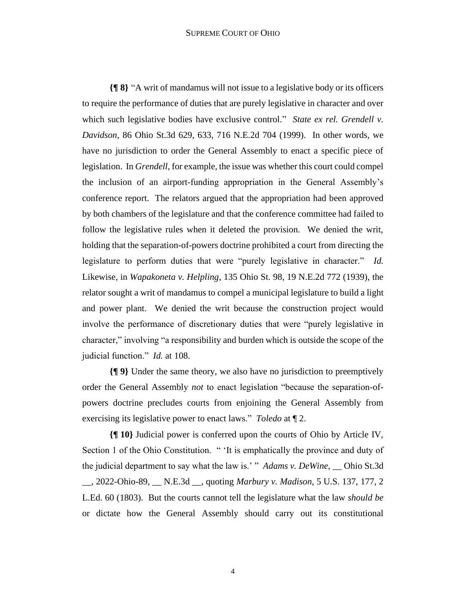#### SUPREME COURT OF OHIO

**{¶ 8}** "A writ of mandamus will not issue to a legislative body or its officers to require the performance of duties that are purely legislative in character and over which such legislative bodies have exclusive control." *State ex rel. Grendell v. Davidson*, 86 Ohio St.3d 629, 633, 716 N.E.2d 704 (1999). In other words, we have no jurisdiction to order the General Assembly to enact a specific piece of legislation. In *Grendell*, for example, the issue was whether this court could compel the inclusion of an airport-funding appropriation in the General Assembly's conference report. The relators argued that the appropriation had been approved by both chambers of the legislature and that the conference committee had failed to follow the legislative rules when it deleted the provision. We denied the writ, holding that the separation-of-powers doctrine prohibited a court from directing the legislature to perform duties that were "purely legislative in character." *Id.* Likewise, in *Wapakoneta v. Helpling*, 135 Ohio St. 98, 19 N.E.2d 772 (1939), the relator sought a writ of mandamus to compel a municipal legislature to build a light and power plant. We denied the writ because the construction project would involve the performance of discretionary duties that were "purely legislative in character," involving "a responsibility and burden which is outside the scope of the judicial function." *Id.* at 108.

**{¶ 9}** Under the same theory, we also have no jurisdiction to preemptively order the General Assembly *not* to enact legislation "because the separation-ofpowers doctrine precludes courts from enjoining the General Assembly from exercising its legislative power to enact laws." *Toledo* at ¶ 2.

**{¶ 10}** Judicial power is conferred upon the courts of Ohio by Article IV, Section 1 of the Ohio Constitution. " 'It is emphatically the province and duty of the judicial department to say what the law is.' " *Adams v. DeWine*, \_\_ Ohio St.3d \_\_, 2022-Ohio-89, \_\_ N.E.3d \_\_, quoting *Marbury v. Madison*, 5 U.S. 137, 177, 2 L.Ed. 60 (1803). But the courts cannot tell the legislature what the law *should be* or dictate how the General Assembly should carry out its constitutional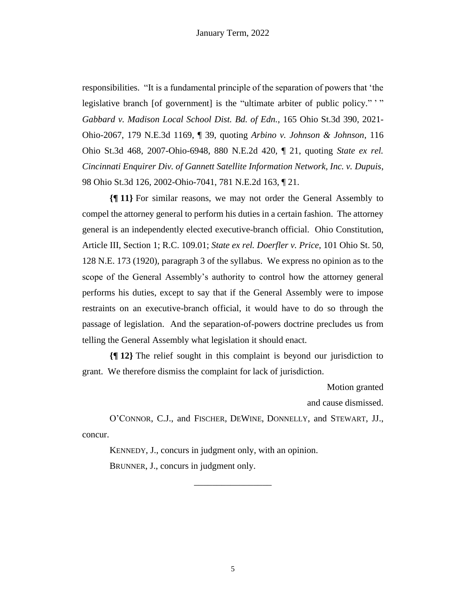responsibilities. "It is a fundamental principle of the separation of powers that 'the legislative branch [of government] is the "ultimate arbiter of public policy." " *Gabbard v. Madison Local School Dist. Bd. of Edn.*, 165 Ohio St.3d 390, 2021- Ohio-2067, 179 N.E.3d 1169, ¶ 39, quoting *Arbino v. Johnson & Johnson*, 116 Ohio St.3d 468, 2007-Ohio-6948, 880 N.E.2d 420, ¶ 21, quoting *State ex rel. Cincinnati Enquirer Div. of Gannett Satellite Information Network, Inc. v. Dupuis*, 98 Ohio St.3d 126, 2002-Ohio-7041, 781 N.E.2d 163, ¶ 21.

**{¶ 11}** For similar reasons, we may not order the General Assembly to compel the attorney general to perform his duties in a certain fashion. The attorney general is an independently elected executive-branch official. Ohio Constitution, Article III, Section 1; R.C. 109.01; *State ex rel. Doerfler v. Price*, 101 Ohio St. 50, 128 N.E. 173 (1920), paragraph 3 of the syllabus. We express no opinion as to the scope of the General Assembly's authority to control how the attorney general performs his duties, except to say that if the General Assembly were to impose restraints on an executive-branch official, it would have to do so through the passage of legislation. And the separation-of-powers doctrine precludes us from telling the General Assembly what legislation it should enact.

**{¶ 12}** The relief sought in this complaint is beyond our jurisdiction to grant. We therefore dismiss the complaint for lack of jurisdiction.

Motion granted

and cause dismissed.

O'CONNOR, C.J., and FISCHER, DEWINE, DONNELLY, and STEWART, JJ., concur.

\_\_\_\_\_\_\_\_\_\_\_\_\_\_\_\_\_

KENNEDY, J., concurs in judgment only, with an opinion. BRUNNER, J., concurs in judgment only.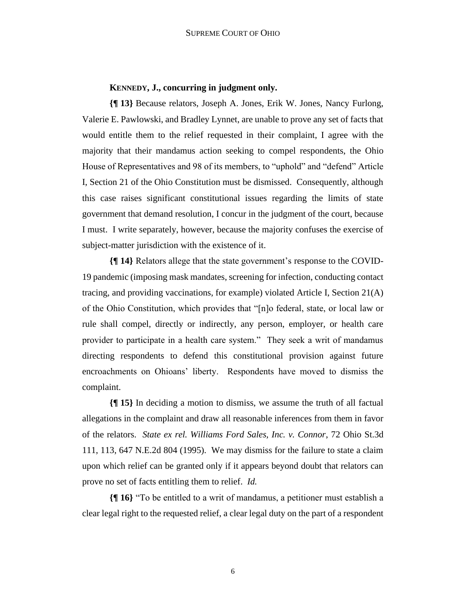## **KENNEDY, J., concurring in judgment only.**

**{¶ 13}** Because relators, Joseph A. Jones, Erik W. Jones, Nancy Furlong, Valerie E. Pawlowski, and Bradley Lynnet, are unable to prove any set of facts that would entitle them to the relief requested in their complaint, I agree with the majority that their mandamus action seeking to compel respondents, the Ohio House of Representatives and 98 of its members, to "uphold" and "defend" Article I, Section 21 of the Ohio Constitution must be dismissed. Consequently, although this case raises significant constitutional issues regarding the limits of state government that demand resolution, I concur in the judgment of the court, because I must. I write separately, however, because the majority confuses the exercise of subject-matter jurisdiction with the existence of it.

**{¶ 14}** Relators allege that the state government's response to the COVID-19 pandemic (imposing mask mandates, screening for infection, conducting contact tracing, and providing vaccinations, for example) violated Article I, Section 21(A) of the Ohio Constitution, which provides that "[n]o federal, state, or local law or rule shall compel, directly or indirectly, any person, employer, or health care provider to participate in a health care system." They seek a writ of mandamus directing respondents to defend this constitutional provision against future encroachments on Ohioans' liberty. Respondents have moved to dismiss the complaint.

**{¶ 15}** In deciding a motion to dismiss, we assume the truth of all factual allegations in the complaint and draw all reasonable inferences from them in favor of the relators. *State ex rel. Williams Ford Sales, Inc. v. Connor*, 72 Ohio St.3d 111, 113, 647 N.E.2d 804 (1995). We may dismiss for the failure to state a claim upon which relief can be granted only if it appears beyond doubt that relators can prove no set of facts entitling them to relief. *Id.*

**{¶ 16}** "To be entitled to a writ of mandamus, a petitioner must establish a clear legal right to the requested relief, a clear legal duty on the part of a respondent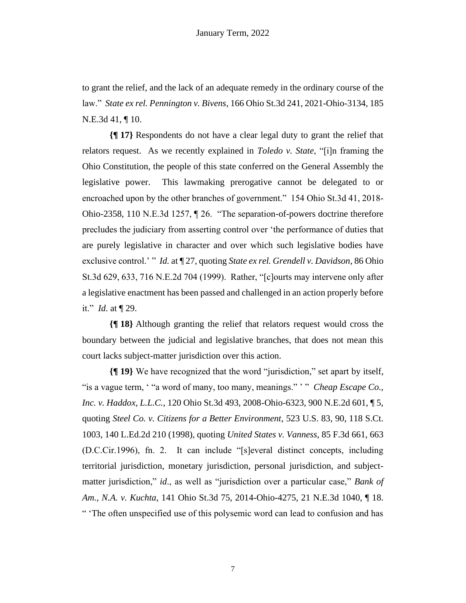to grant the relief, and the lack of an adequate remedy in the ordinary course of the law." *State ex rel. Pennington v. Bivens*, 166 Ohio St.3d 241, 2021-Ohio-3134, 185 N.E.3d 41, ¶ 10.

**{¶ 17}** Respondents do not have a clear legal duty to grant the relief that relators request. As we recently explained in *Toledo v. State*, "[i]n framing the Ohio Constitution, the people of this state conferred on the General Assembly the legislative power. This lawmaking prerogative cannot be delegated to or encroached upon by the other branches of government." 154 Ohio St.3d 41, 2018- Ohio-2358, 110 N.E.3d 1257, ¶ 26. "The separation-of-powers doctrine therefore precludes the judiciary from asserting control over 'the performance of duties that are purely legislative in character and over which such legislative bodies have exclusive control.' " *Id.* at ¶ 27, quoting *State ex rel. Grendell v. Davidson*, 86 Ohio St.3d 629, 633, 716 N.E.2d 704 (1999). Rather, "[c]ourts may intervene only after a legislative enactment has been passed and challenged in an action properly before it." *Id.* at ¶ 29.

**{¶ 18}** Although granting the relief that relators request would cross the boundary between the judicial and legislative branches, that does not mean this court lacks subject-matter jurisdiction over this action.

**{¶ 19}** We have recognized that the word "jurisdiction," set apart by itself, "is a vague term, ' "a word of many, too many, meanings." ' " *Cheap Escape Co., Inc. v. Haddox, L.L.C.*, 120 Ohio St.3d 493, 2008-Ohio-6323, 900 N.E.2d 601, ¶ 5, quoting *Steel Co. v. Citizens for a Better Environment*, 523 U.S. 83, 90, 118 S.Ct. 1003, 140 L.Ed.2d 210 (1998), quoting *United States v. Vanness*, 85 F.3d 661, 663 (D.C.Cir.1996), fn. 2. It can include "[s]everal distinct concepts, including territorial jurisdiction, monetary jurisdiction, personal jurisdiction, and subjectmatter jurisdiction," *id*., as well as "jurisdiction over a particular case," *Bank of Am., N.A. v. Kuchta*, 141 Ohio St.3d 75, 2014-Ohio-4275, 21 N.E.3d 1040, ¶ 18. " 'The often unspecified use of this polysemic word can lead to confusion and has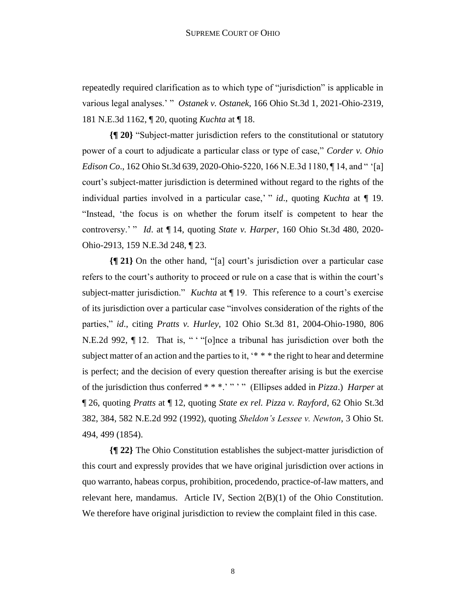repeatedly required clarification as to which type of "jurisdiction" is applicable in various legal analyses.' " *Ostanek v. Ostanek*, 166 Ohio St.3d 1, 2021-Ohio-2319, 181 N.E.3d 1162, ¶ 20, quoting *Kuchta* at ¶ 18.

**{¶ 20}** "Subject-matter jurisdiction refers to the constitutional or statutory power of a court to adjudicate a particular class or type of case," *Corder v. Ohio Edison Co*., 162 Ohio St.3d 639, 2020-Ohio-5220, 166 N.E.3d 1180, ¶ 14, and " '[a] court's subject-matter jurisdiction is determined without regard to the rights of the individual parties involved in a particular case,' " *id*., quoting *Kuchta* at ¶ 19. "Instead, 'the focus is on whether the forum itself is competent to hear the controversy.' " *Id*. at ¶ 14, quoting *State v. Harper*, 160 Ohio St.3d 480, 2020- Ohio-2913, 159 N.E.3d 248, ¶ 23.

**{¶ 21}** On the other hand, "[a] court's jurisdiction over a particular case refers to the court's authority to proceed or rule on a case that is within the court's subject-matter jurisdiction." *Kuchta* at ¶ 19. This reference to a court's exercise of its jurisdiction over a particular case "involves consideration of the rights of the parties," *id*., citing *Pratts v. Hurley*, 102 Ohio St.3d 81, 2004-Ohio-1980, 806 N.E.2d 992, ¶ 12. That is, " ' "[o]nce a tribunal has jurisdiction over both the subject matter of an action and the parties to it,  $** *$  the right to hear and determine is perfect; and the decision of every question thereafter arising is but the exercise of the jurisdiction thus conferred \* \* \*.' " ' " (Ellipses added in *Pizza*.) *Harper* at ¶ 26, quoting *Pratts* at ¶ 12, quoting *State ex rel. Pizza v. Rayford*, 62 Ohio St.3d 382, 384, 582 N.E.2d 992 (1992), quoting *Sheldon's Lessee v. Newton*, 3 Ohio St. 494, 499 (1854).

**{¶ 22}** The Ohio Constitution establishes the subject-matter jurisdiction of this court and expressly provides that we have original jurisdiction over actions in quo warranto, habeas corpus, prohibition, procedendo, practice-of-law matters, and relevant here, mandamus. Article IV, Section 2(B)(1) of the Ohio Constitution. We therefore have original jurisdiction to review the complaint filed in this case.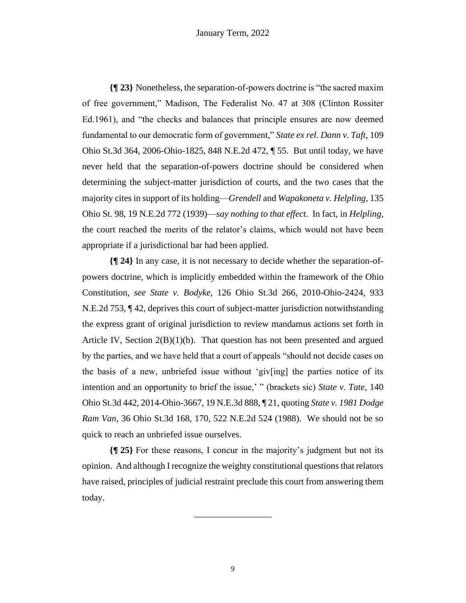**{¶ 23}** Nonetheless, the separation-of-powers doctrine is "the sacred maxim of free government," Madison, The Federalist No. 47 at 308 (Clinton Rossiter Ed.1961), and "the checks and balances that principle ensures are now deemed fundamental to our democratic form of government," *State ex rel. Dann v. Taft*, 109 Ohio St.3d 364, 2006-Ohio-1825, 848 N.E.2d 472, ¶ 55. But until today, we have never held that the separation-of-powers doctrine should be considered when determining the subject-matter jurisdiction of courts, and the two cases that the majority cites in support of its holding—*Grendell* and *Wapakoneta v. Helpling*, 135 Ohio St. 98, 19 N.E.2d 772 (1939)—*say nothing to that effect*. In fact, in *Helpling*, the court reached the merits of the relator's claims, which would not have been appropriate if a jurisdictional bar had been applied.

**{¶ 24}** In any case, it is not necessary to decide whether the separation-ofpowers doctrine, which is implicitly embedded within the framework of the Ohio Constitution, *see State v. Bodyke*, 126 Ohio St.3d 266, 2010-Ohio-2424, 933 N.E.2d 753, ¶ 42, deprives this court of subject-matter jurisdiction notwithstanding the express grant of original jurisdiction to review mandamus actions set forth in Article IV, Section  $2(B)(1)(b)$ . That question has not been presented and argued by the parties, and we have held that a court of appeals "should not decide cases on the basis of a new, unbriefed issue without 'giv[ing] the parties notice of its intention and an opportunity to brief the issue,' " (brackets sic) *State v. Tate*, 140 Ohio St.3d 442, 2014-Ohio-3667, 19 N.E.3d 888, ¶ 21, quoting *State v. 1981 Dodge Ram Van*, 36 Ohio St.3d 168, 170, 522 N.E.2d 524 (1988). We should not be so quick to reach an unbriefed issue ourselves.

**{¶ 25}** For these reasons, I concur in the majority's judgment but not its opinion. And although I recognize the weighty constitutional questions that relators have raised, principles of judicial restraint preclude this court from answering them today.

\_\_\_\_\_\_\_\_\_\_\_\_\_\_\_\_\_